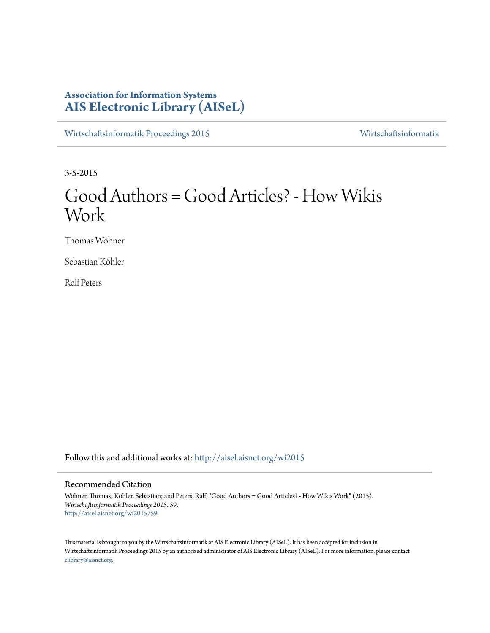# **Association for Information Systems [AIS Electronic Library \(AISeL\)](http://aisel.aisnet.org?utm_source=aisel.aisnet.org%2Fwi2015%2F59&utm_medium=PDF&utm_campaign=PDFCoverPages)**

[Wirtschaftsinformatik Proceedings 2015](http://aisel.aisnet.org/wi2015?utm_source=aisel.aisnet.org%2Fwi2015%2F59&utm_medium=PDF&utm_campaign=PDFCoverPages) [Wirtschaftsinformatik](http://aisel.aisnet.org/wi?utm_source=aisel.aisnet.org%2Fwi2015%2F59&utm_medium=PDF&utm_campaign=PDFCoverPages)

3-5-2015

# Good Authors = Good Articles? - How Wikis Work

Thomas Wöhner

Sebastian Köhler

Ralf Peters

Follow this and additional works at: [http://aisel.aisnet.org/wi2015](http://aisel.aisnet.org/wi2015?utm_source=aisel.aisnet.org%2Fwi2015%2F59&utm_medium=PDF&utm_campaign=PDFCoverPages)

# Recommended Citation

Wöhner, Thomas; Köhler, Sebastian; and Peters, Ralf, "Good Authors = Good Articles? - How Wikis Work" (2015). *Wirtschaftsinformatik Proceedings 2015*. 59. [http://aisel.aisnet.org/wi2015/59](http://aisel.aisnet.org/wi2015/59?utm_source=aisel.aisnet.org%2Fwi2015%2F59&utm_medium=PDF&utm_campaign=PDFCoverPages)

This material is brought to you by the Wirtschaftsinformatik at AIS Electronic Library (AISeL). It has been accepted for inclusion in Wirtschaftsinformatik Proceedings 2015 by an authorized administrator of AIS Electronic Library (AISeL). For more information, please contact [elibrary@aisnet.org.](mailto:elibrary@aisnet.org%3E)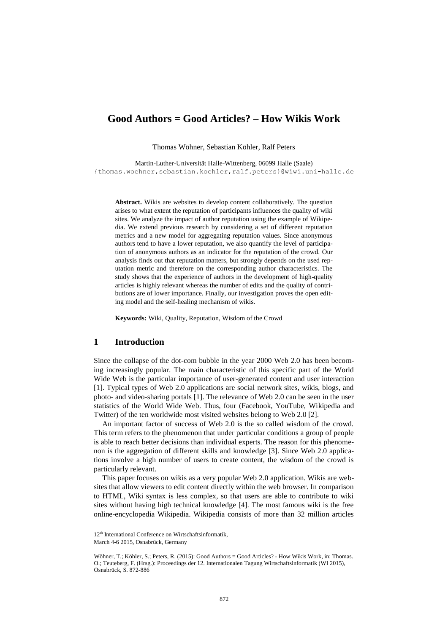# **Good Authors = Good Articles? – How Wikis Work**

Thomas Wöhner, Sebastian Köhler, Ralf Peters

Martin-Luther-Universität Halle-Wittenberg, 06099 Halle (Saale) {thomas.woehner,sebastian.koehler,ralf.peters}@wiwi.uni-halle.de

**Abstract.** Wikis are websites to develop content collaboratively. The question arises to what extent the reputation of participants influences the quality of wiki sites. We analyze the impact of author reputation using the example of Wikipedia. We extend previous research by considering a set of different reputation metrics and a new model for aggregating reputation values. Since anonymous authors tend to have a lower reputation, we also quantify the level of participation of anonymous authors as an indicator for the reputation of the crowd. Our analysis finds out that reputation matters, but strongly depends on the used reputation metric and therefore on the corresponding author characteristics. The study shows that the experience of authors in the development of high-quality articles is highly relevant whereas the number of edits and the quality of contributions are of lower importance. Finally, our investigation proves the open editing model and the self-healing mechanism of wikis.

**Keywords:** Wiki, Quality, Reputation, Wisdom of the Crowd

#### **1 Introduction**

Since the collapse of the dot-com bubble in the year 2000 Web 2.0 has been becoming increasingly popular. The main characteristic of this specific part of the World Wide Web is the particular importance of user-generated content and user interaction [1]. Typical types of Web 2.0 applications are social network sites, wikis, blogs, and photo- and video-sharing portals [1]. The relevance of Web 2.0 can be seen in the user statistics of the World Wide Web. Thus, four (Facebook, YouTube, Wikipedia and Twitter) of the ten worldwide most visited websites belong to Web 2.0 [2].

An important factor of success of Web 2.0 is the so called wisdom of the crowd. This term refers to the phenomenon that under particular conditions a group of people is able to reach better decisions than individual experts. The reason for this phenomenon is the aggregation of different skills and knowledge [3]. Since Web 2.0 applications involve a high number of users to create content, the wisdom of the crowd is particularly relevant.

This paper focuses on wikis as a very popular Web 2.0 application. Wikis are websites that allow viewers to edit content directly within the web browser. In comparison to HTML, Wiki syntax is less complex, so that users are able to contribute to wiki sites without having high technical knowledge [4]. The most famous wiki is the free online-encyclopedia Wikipedia. Wikipedia consists of more than 32 million articles

<sup>12&</sup>lt;sup>th</sup> International Conference on Wirtschaftsinformatik,

March 4-6 2015, Osnabrück, Germany

Wöhner, T.; Köhler, S.; Peters, R. (2015): Good Authors = Good Articles? - How Wikis Work, in: Thomas. O.; Teuteberg, F. (Hrsg.): Proceedings der 12. Internationalen Tagung Wirtschaftsinformatik (WI 2015), Osnabrück, S. 872-886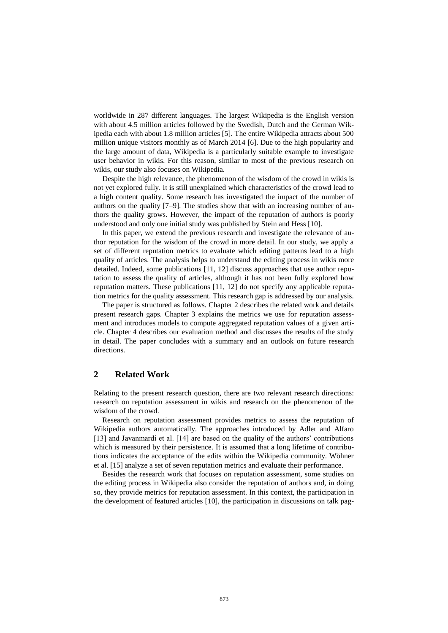worldwide in 287 different languages. The largest Wikipedia is the English version with about 4.5 million articles followed by the Swedish, Dutch and the German Wikipedia each with about 1.8 million articles [5]. The entire Wikipedia attracts about 500 million unique visitors monthly as of March 2014 [6]. Due to the high popularity and the large amount of data, Wikipedia is a particularly suitable example to investigate user behavior in wikis. For this reason, similar to most of the previous research on wikis, our study also focuses on Wikipedia.

Despite the high relevance, the phenomenon of the wisdom of the crowd in wikis is not yet explored fully. It is still unexplained which characteristics of the crowd lead to a high content quality. Some research has investigated the impact of the number of authors on the quality [7–9]. The studies show that with an increasing number of authors the quality grows. However, the impact of the reputation of authors is poorly understood and only one initial study was published by Stein and Hess [10].

In this paper, we extend the previous research and investigate the relevance of author reputation for the wisdom of the crowd in more detail. In our study, we apply a set of different reputation metrics to evaluate which editing patterns lead to a high quality of articles. The analysis helps to understand the editing process in wikis more detailed. Indeed, some publications [11, 12] discuss approaches that use author reputation to assess the quality of articles, although it has not been fully explored how reputation matters. These publications [11, 12] do not specify any applicable reputation metrics for the quality assessment. This research gap is addressed by our analysis.

The paper is structured as follows. Chapter 2 describes the related work and details present research gaps. Chapter 3 explains the metrics we use for reputation assessment and introduces models to compute aggregated reputation values of a given article. Chapter 4 describes our evaluation method and discusses the results of the study in detail. The paper concludes with a summary and an outlook on future research directions.

# **2 Related Work**

Relating to the present research question, there are two relevant research directions: research on reputation assessment in wikis and research on the phenomenon of the wisdom of the crowd.

Research on reputation assessment provides metrics to assess the reputation of Wikipedia authors automatically. The approaches introduced by Adler and Alfaro [13] and Javanmardi et al. [14] are based on the quality of the authors' contributions which is measured by their persistence. It is assumed that a long lifetime of contributions indicates the acceptance of the edits within the Wikipedia community. Wöhner et al. [15] analyze a set of seven reputation metrics and evaluate their performance.

Besides the research work that focuses on reputation assessment, some studies on the editing process in Wikipedia also consider the reputation of authors and, in doing so, they provide metrics for reputation assessment. In this context, the participation in the development of featured articles [10], the participation in discussions on talk pag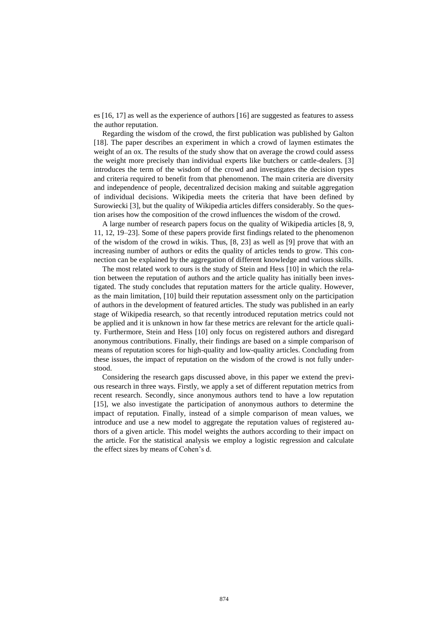es [16, 17] as well as the experience of authors [16] are suggested as features to assess the author reputation.

Regarding the wisdom of the crowd, the first publication was published by Galton [18]. The paper describes an experiment in which a crowd of laymen estimates the weight of an ox. The results of the study show that on average the crowd could assess the weight more precisely than individual experts like butchers or cattle-dealers. [3] introduces the term of the wisdom of the crowd and investigates the decision types and criteria required to benefit from that phenomenon. The main criteria are diversity and independence of people, decentralized decision making and suitable aggregation of individual decisions. Wikipedia meets the criteria that have been defined by Surowiecki [3], but the quality of Wikipedia articles differs considerably. So the question arises how the composition of the crowd influences the wisdom of the crowd.

A large number of research papers focus on the quality of Wikipedia articles [8, 9, 11, 12, 19–23]. Some of these papers provide first findings related to the phenomenon of the wisdom of the crowd in wikis. Thus, [8, 23] as well as [9] prove that with an increasing number of authors or edits the quality of articles tends to grow. This connection can be explained by the aggregation of different knowledge and various skills.

The most related work to ours is the study of Stein and Hess [10] in which the relation between the reputation of authors and the article quality has initially been investigated. The study concludes that reputation matters for the article quality. However, as the main limitation, [10] build their reputation assessment only on the participation of authors in the development of featured articles. The study was published in an early stage of Wikipedia research, so that recently introduced reputation metrics could not be applied and it is unknown in how far these metrics are relevant for the article quality. Furthermore, Stein and Hess [10] only focus on registered authors and disregard anonymous contributions. Finally, their findings are based on a simple comparison of means of reputation scores for high-quality and low-quality articles. Concluding from these issues, the impact of reputation on the wisdom of the crowd is not fully understood.

Considering the research gaps discussed above, in this paper we extend the previous research in three ways. Firstly, we apply a set of different reputation metrics from recent research. Secondly, since anonymous authors tend to have a low reputation [15], we also investigate the participation of anonymous authors to determine the impact of reputation. Finally, instead of a simple comparison of mean values, we introduce and use a new model to aggregate the reputation values of registered authors of a given article. This model weights the authors according to their impact on the article. For the statistical analysis we employ a logistic regression and calculate the effect sizes by means of Cohen's d.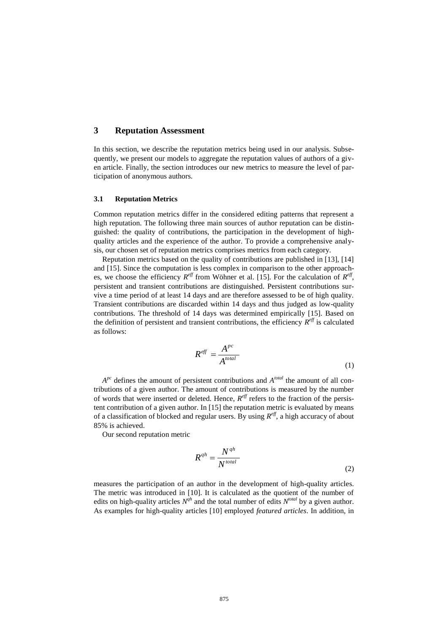#### **3 Reputation Assessment**

In this section, we describe the reputation metrics being used in our analysis. Subsequently, we present our models to aggregate the reputation values of authors of a given article. Finally, the section introduces our new metrics to measure the level of participation of anonymous authors.

#### **3.1 Reputation Metrics**

Common reputation metrics differ in the considered editing patterns that represent a high reputation. The following three main sources of author reputation can be distinguished: the quality of contributions, the participation in the development of highquality articles and the experience of the author. To provide a comprehensive analysis, our chosen set of reputation metrics comprises metrics from each category.

Reputation metrics based on the quality of contributions are published in [13], [14] and [15]. Since the computation is less complex in comparison to the other approaches, we choose the efficiency  $R^{\text{eff}}$  from Wöhner et al. [15]. For the calculation of  $R^{\text{eff}}$ , persistent and transient contributions are distinguished. Persistent contributions survive a time period of at least 14 days and are therefore assessed to be of high quality. Transient contributions are discarded within 14 days and thus judged as low-quality contributions. The threshold of 14 days was determined empirically [15]. Based on the definition of persistent and transient contributions, the efficiency  $R^{eff}$  is calculated as follows:

$$
R^{eff} = \frac{A^{pc}}{A^{total}}
$$
 (1)

 $A^{pc}$  defines the amount of persistent contributions and  $A^{total}$  the amount of all contributions of a given author. The amount of contributions is measured by the number of words that were inserted or deleted. Hence,  $R^{\text{eff}}$  refers to the fraction of the persistent contribution of a given author. In [15] the reputation metric is evaluated by means of a classification of blocked and regular users. By using *R eff*, a high accuracy of about 85% is achieved.

Our second reputation metric

$$
R^{qh} = \frac{N^{qh}}{N^{total}}
$$
\n(2)

measures the participation of an author in the development of high-quality articles. The metric was introduced in [10]. It is calculated as the quotient of the number of edits on high-quality articles  $N^{qh}$  and the total number of edits  $N^{total}$  by a given author. As examples for high-quality articles [10] employed *featured articles*. In addition, in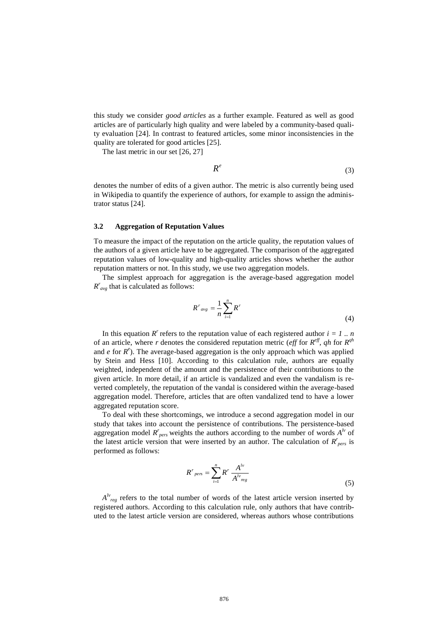this study we consider *good articles* as a further example. Featured as well as good articles are of particularly high quality and were labeled by a community-based quality evaluation [24]. In contrast to featured articles, some minor inconsistencies in the quality are tolerated for good articles [25].

The last metric in our set [26, 27]

$$
R^e \tag{3}
$$

denotes the number of edits of a given author. The metric is also currently being used in Wikipedia to quantify the experience of authors, for example to assign the administrator status [24].

#### **3.2 Aggregation of Reputation Values**

To measure the impact of the reputation on the article quality, the reputation values of the authors of a given article have to be aggregated. The comparison of the aggregated reputation values of low-quality and high-quality articles shows whether the author reputation matters or not. In this study, we use two aggregation models.

The simplest approach for aggregation is the average-based aggregation model  $R^r_{avg}$  that is calculated as follows:

$$
R^r{}_{avg} = \frac{1}{n} \sum_{i=1}^n R^r \tag{4}
$$

In this equation  $R^r$  refers to the reputation value of each registered author  $i = 1$ ... of an article, where *r* denotes the considered reputation metric (*eff* for  $R^{\text{eff}}$ , *qh* for  $R^{\text{qh}}$ and  $e$  for  $R^e$ ). The average-based aggregation is the only approach which was applied by Stein and Hess [10]. According to this calculation rule, authors are equally weighted, independent of the amount and the persistence of their contributions to the given article. In more detail, if an article is vandalized and even the vandalism is reverted completely, the reputation of the vandal is considered within the average-based aggregation model. Therefore, articles that are often vandalized tend to have a lower aggregated reputation score.

To deal with these shortcomings, we introduce a second aggregation model in our study that takes into account the persistence of contributions. The persistence-based aggregation model  $R_{pers}^r$  weights the authors according to the number of words  $A^h$  of the latest article version that were inserted by an author. The calculation of  $R_{pers}^r$  is performed as follows:

$$
R^r_{\text{pers}} = \sum_{i=1}^n R^r \frac{A^{lv}}{A^{lv}_{\text{reg}}}
$$
 (5)

 $A^{lv}$ <sub>reg</sub> refers to the total number of words of the latest article version inserted by registered authors. According to this calculation rule, only authors that have contributed to the latest article version are considered, whereas authors whose contributions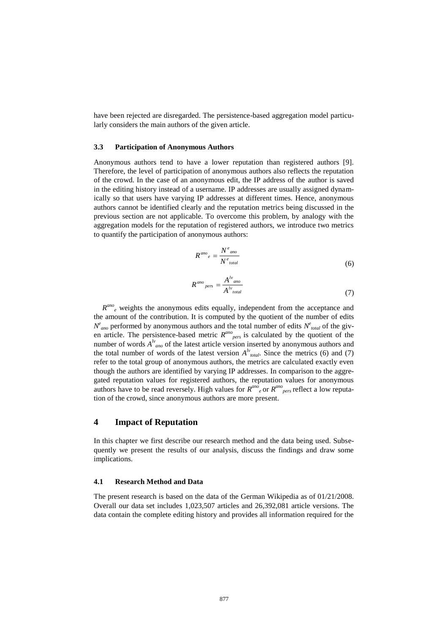have been rejected are disregarded. The persistence-based aggregation model particularly considers the main authors of the given article.

#### **3.3 Participation of Anonymous Authors**

Anonymous authors tend to have a lower reputation than registered authors [9]. Therefore, the level of participation of anonymous authors also reflects the reputation of the crowd. In the case of an anonymous edit, the IP address of the author is saved in the editing history instead of a username. IP addresses are usually assigned dynamically so that users have varying IP addresses at different times. Hence, anonymous authors cannot be identified clearly and the reputation metrics being discussed in the previous section are not applicable. To overcome this problem, by analogy with the aggregation models for the reputation of registered authors, we introduce two metrics to quantify the participation of anonymous authors:

$$
R^{ano}{}_{e} = \frac{N^{e}{}_{ano}}{N^{e}{}_{total}} \tag{6}
$$

$$
R^{ano}{}_{pers} = \frac{A^{lv}{}_{ano}}{A^{lv}{}_{total}} \tag{7}
$$

 $R^{ano}$ <sub>e</sub> weights the anonymous edits equally, independent from the acceptance and the amount of the contribution. It is computed by the quotient of the number of edits  $N^e$ <sub>ano</sub> performed by anonymous authors and the total number of edits  $N^e$ <sub>total</sub> of the given article. The persistence-based metric  $R^{ano}_{pers}$  is calculated by the quotient of the number of words  $A^{l}$ <sub>ano</sub> of the latest article version inserted by anonymous authors and the total number of words of the latest version  $A^{l\nu}_{total}$ . Since the metrics (6) and (7) refer to the total group of anonymous authors, the metrics are calculated exactly even though the authors are identified by varying IP addresses. In comparison to the aggregated reputation values for registered authors, the reputation values for anonymous authors have to be read reversely. High values for  $R^{ano}_{e}$  or  $R^{ano}_{pers}$  reflect a low reputation of the crowd, since anonymous authors are more present.

#### **4 Impact of Reputation**

In this chapter we first describe our research method and the data being used. Subsequently we present the results of our analysis, discuss the findings and draw some implications.

#### **4.1 Research Method and Data**

The present research is based on the data of the German Wikipedia as of 01/21/2008. Overall our data set includes 1,023,507 articles and 26,392,081 article versions. The data contain the complete editing history and provides all information required for the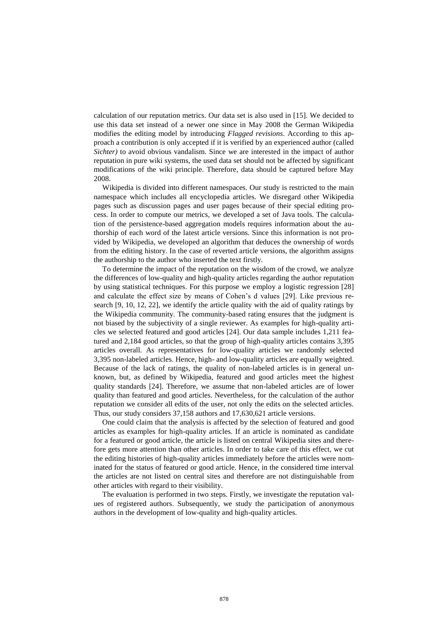calculation of our reputation metrics. Our data set is also used in [15]. We decided to use this data set instead of a newer one since in May 2008 the German Wikipedia modifies the editing model by introducing *Flagged revisions*. According to this approach a contribution is only accepted if it is verified by an experienced author (called *Sichter)* to avoid obvious vandalism. Since we are interested in the impact of author reputation in pure wiki systems, the used data set should not be affected by significant modifications of the wiki principle. Therefore, data should be captured before May 2008.

Wikipedia is divided into different namespaces. Our study is restricted to the main namespace which includes all encyclopedia articles. We disregard other Wikipedia pages such as discussion pages and user pages because of their special editing process. In order to compute our metrics, we developed a set of Java tools. The calculation of the persistence-based aggregation models requires information about the authorship of each word of the latest article versions. Since this information is not provided by Wikipedia, we developed an algorithm that deduces the ownership of words from the editing history. In the case of reverted article versions, the algorithm assigns the authorship to the author who inserted the text firstly.

To determine the impact of the reputation on the wisdom of the crowd, we analyze the differences of low-quality and high-quality articles regarding the author reputation by using statistical techniques. For this purpose we employ a logistic regression [28] and calculate the effect size by means of Cohen's d values [29]. Like previous research [9, 10, 12, 22], we identify the article quality with the aid of quality ratings by the Wikipedia community. The community-based rating ensures that the judgment is not biased by the subjectivity of a single reviewer. As examples for high-quality articles we selected featured and good articles [24]. Our data sample includes 1,211 featured and 2,184 good articles, so that the group of high-quality articles contains 3,395 articles overall. As representatives for low-quality articles we randomly selected 3,395 non-labeled articles. Hence, high- and low-quality articles are equally weighted. Because of the lack of ratings, the quality of non-labeled articles is in general unknown, but, as defined by Wikipedia, featured and good articles meet the highest quality standards [24]. Therefore, we assume that non-labeled articles are of lower quality than featured and good articles. Nevertheless, for the calculation of the author reputation we consider all edits of the user, not only the edits on the selected articles. Thus, our study considers 37,158 authors and 17,630,621 article versions.

One could claim that the analysis is affected by the selection of featured and good articles as examples for high-quality articles. If an article is nominated as candidate for a featured or good article, the article is listed on central Wikipedia sites and therefore gets more attention than other articles. In order to take care of this effect, we cut the editing histories of high-quality articles immediately before the articles were nominated for the status of featured or good article. Hence, in the considered time interval the articles are not listed on central sites and therefore are not distinguishable from other articles with regard to their visibility.

The evaluation is performed in two steps. Firstly, we investigate the reputation values of registered authors. Subsequently, we study the participation of anonymous authors in the development of low-quality and high-quality articles.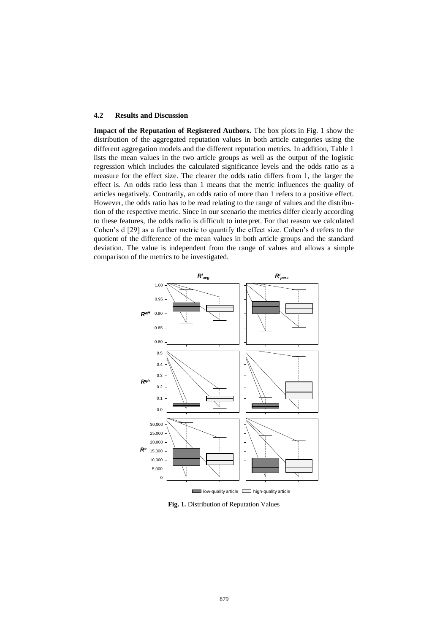#### **4.2 Results and Discussion**

**Impact of the Reputation of Registered Authors.** The box plots in Fig. 1 show the distribution of the aggregated reputation values in both article categories using the different aggregation models and the different reputation metrics. In addition, Table 1 lists the mean values in the two article groups as well as the output of the logistic regression which includes the calculated significance levels and the odds ratio as a measure for the effect size. The clearer the odds ratio differs from 1, the larger the effect is. An odds ratio less than 1 means that the metric influences the quality of articles negatively. Contrarily, an odds ratio of more than 1 refers to a positive effect. However, the odds ratio has to be read relating to the range of values and the distribution of the respective metric. Since in our scenario the metrics differ clearly according to these features, the odds radio is difficult to interpret. For that reason we calculated Cohen's d [29] as a further metric to quantify the effect size. Cohen's d refers to the quotient of the difference of the mean values in both article groups and the standard deviation. The value is independent from the range of values and allows a simple comparison of the metrics to be investigated.



 $low$ -quality article  $\Box$  high-quality article

**Fig. 1.** Distribution of Reputation Values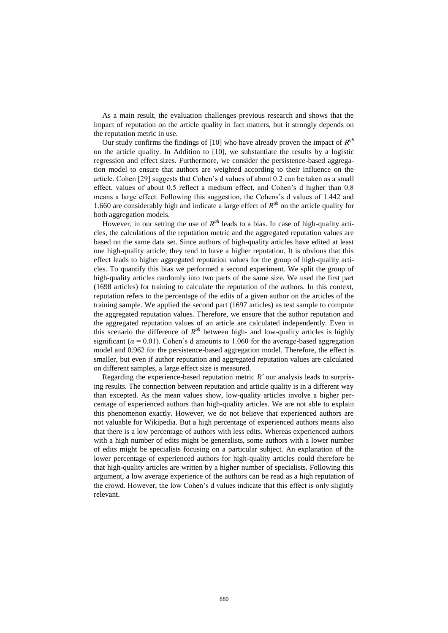As a main result, the evaluation challenges previous research and shows that the impact of reputation on the article quality in fact matters, but it strongly depends on the reputation metric in use.

Our study confirms the findings of [10] who have already proven the impact of  $R^{qh}$ on the article quality. In Addition to [10], we substantiate the results by a logistic regression and effect sizes. Furthermore, we consider the persistence-based aggregation model to ensure that authors are weighted according to their influence on the article. Cohen [29] suggests that Cohen's d values of about 0.2 can be taken as a small effect, values of about 0.5 reflect a medium effect, and Cohen's d higher than 0.8 means a large effect. Following this suggestion, the Cohens's d values of 1.442 and 1.660 are considerably high and indicate a large effect of  $R^{qh}$  on the article quality for both aggregation models.

However, in our setting the use of  $R^{qh}$  leads to a bias. In case of high-quality articles, the calculations of the reputation metric and the aggregated reputation values are based on the same data set. Since authors of high-quality articles have edited at least one high-quality article, they tend to have a higher reputation. It is obvious that this effect leads to higher aggregated reputation values for the group of high-quality articles. To quantify this bias we performed a second experiment. We split the group of high-quality articles randomly into two parts of the same size. We used the first part (1698 articles) for training to calculate the reputation of the authors. In this context, reputation refers to the percentage of the edits of a given author on the articles of the training sample. We applied the second part (1697 articles) as test sample to compute the aggregated reputation values. Therefore, we ensure that the author reputation and the aggregated reputation values of an article are calculated independently. Even in this scenario the difference of  $R^{qh}$  between high- and low-quality articles is highly significant ( $\alpha$  = 0.01). Cohen's d amounts to 1.060 for the average-based aggregation model and 0.962 for the persistence-based aggregation model. Therefore, the effect is smaller, but even if author reputation and aggregated reputation values are calculated on different samples, a large effect size is measured.

Regarding the experience-based reputation metric  $R^e$  our analysis leads to surprising results. The connection between reputation and article quality is in a different way than excepted. As the mean values show, low-quality articles involve a higher percentage of experienced authors than high-quality articles. We are not able to explain this phenomenon exactly. However, we do not believe that experienced authors are not valuable for Wikipedia. But a high percentage of experienced authors means also that there is a low percentage of authors with less edits. Whereas experienced authors with a high number of edits might be generalists, some authors with a lower number of edits might be specialists focusing on a particular subject. An explanation of the lower percentage of experienced authors for high-quality articles could therefore be that high-quality articles are written by a higher number of specialists. Following this argument, a low average experience of the authors can be read as a high reputation of the crowd. However, the low Cohen's d values indicate that this effect is only slightly relevant.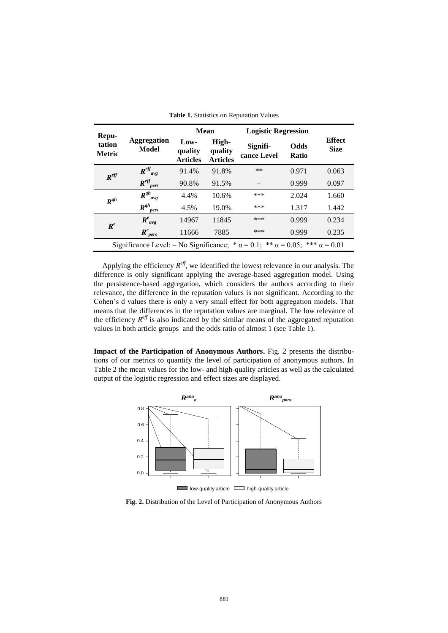| Repu-<br>tation<br><b>Metric</b>                                                                    | <b>Aggregation</b><br>Model | <b>Mean</b>                        |                                     | <b>Logistic Regression</b> |               |                              |
|-----------------------------------------------------------------------------------------------------|-----------------------------|------------------------------------|-------------------------------------|----------------------------|---------------|------------------------------|
|                                                                                                     |                             | Low-<br>quality<br><b>Articles</b> | High-<br>quality<br><b>Articles</b> | Signifi-<br>cance Level    | Odds<br>Ratio | <b>Effect</b><br><b>Size</b> |
| $R^{eff}$                                                                                           | $R^{eff}_{avg}$             | 91.4%                              | 91.8%                               | **                         | 0.971         | 0.063                        |
|                                                                                                     | $R^{eff}$<br>pers           | 90.8%                              | 91.5%                               |                            | 0.999         | 0.097                        |
| $R^{qh}$                                                                                            | $R^{qh}$<br>avg             | 4.4%                               | 10.6%                               | ***                        | 2.024         | 1.660                        |
|                                                                                                     | $R^{qh}$<br>pers            | 4.5%                               | 19.0%                               | ***                        | 1.317         | 1.442                        |
| $\boldsymbol{R}^e$                                                                                  | $R^e_{avg}$                 | 14967                              | 11845                               | ***                        | 0.999         | 0.234                        |
|                                                                                                     | $R^e_{\,\,\,pers}$          | 11666                              | 7885                                | ***                        | 0.999         | 0.235                        |
| Significance Level: $-$ No Significance; $*\alpha = 0.1$ ; $** \alpha = 0.05$ ; $*** \alpha = 0.01$ |                             |                                    |                                     |                            |               |                              |

|  |  | <b>Table 1.</b> Statistics on Reputation Values |  |  |  |
|--|--|-------------------------------------------------|--|--|--|
|--|--|-------------------------------------------------|--|--|--|

Applying the efficiency  $R^{eff}$ , we identified the lowest relevance in our analysis. The difference is only significant applying the average-based aggregation model. Using the persistence-based aggregation, which considers the authors according to their relevance, the difference in the reputation values is not significant. According to the Cohen's d values there is only a very small effect for both aggregation models. That means that the differences in the reputation values are marginal. The low relevance of the efficiency  $R^{\text{eff}}$  is also indicated by the similar means of the aggregated reputation values in both article groups and the odds ratio of almost 1 (see Table 1).

**Impact of the Participation of Anonymous Authors.** Fig. 2 presents the distributions of our metrics to quantify the level of participation of anonymous authors. In Table 2 the mean values for the low- and high-quality articles as well as the calculated output of the logistic regression and effect sizes are displayed.



**Fig. 2.** Distribution of the Level of Participation of Anonymous Authors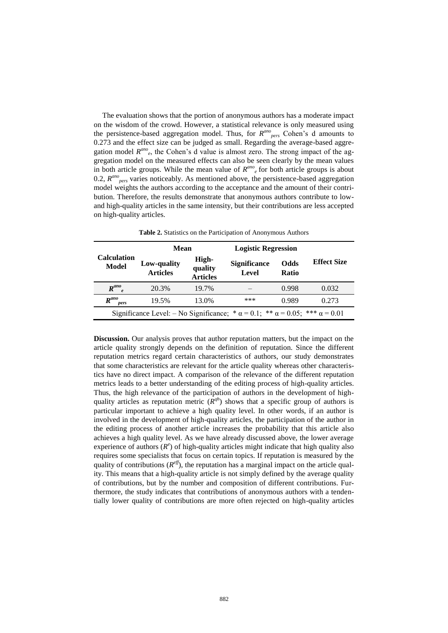The evaluation shows that the portion of anonymous authors has a moderate impact on the wisdom of the crowd. However, a statistical relevance is only measured using the persistence-based aggregation model. Thus, for  $R^{ano}_{pers}$  Cohen's d amounts to 0.273 and the effect size can be judged as small. Regarding the average-based aggregation model  $R^{ano}$ <sub>e</sub>, the Cohen's d value is almost zero. The strong impact of the aggregation model on the measured effects can also be seen clearly by the mean values in both article groups. While the mean value of  $R^{ano}$ <sub>e</sub> for both article groups is about 0.2,  $R^{ano}$ <sub>pers</sub> varies noticeably. As mentioned above, the persistence-based aggregation model weights the authors according to the acceptance and the amount of their contribution. Therefore, the results demonstrate that anonymous authors contribute to lowand high-quality articles in the same intensity, but their contributions are less accepted on high-quality articles.

|                                                                                                    | Mean                           |                                     | <b>Logistic Regression</b>   |                             |                    |  |
|----------------------------------------------------------------------------------------------------|--------------------------------|-------------------------------------|------------------------------|-----------------------------|--------------------|--|
| Calculation<br>Model                                                                               | Low-quality<br><b>Articles</b> | High-<br>quality<br><b>Articles</b> | <b>Significance</b><br>Level | <b>Odds</b><br><b>Ratio</b> | <b>Effect Size</b> |  |
| $R^{ano}$ <sub>e</sub>                                                                             | 20.3%                          | 19.7%                               |                              | 0.998                       | 0.032              |  |
| $R^{ano}$<br>pers                                                                                  | 19.5%                          | 13.0%                               | ***                          | 0.989                       | 0.273              |  |
| Significance Level: – No Significance; * $\alpha = 0.1$ ; ** $\alpha = 0.05$ ; *** $\alpha = 0.01$ |                                |                                     |                              |                             |                    |  |

**Table 2.** Statistics on the Participation of Anonymous Authors

**Discussion.** Our analysis proves that author reputation matters, but the impact on the article quality strongly depends on the definition of reputation. Since the different reputation metrics regard certain characteristics of authors, our study demonstrates that some characteristics are relevant for the article quality whereas other characteristics have no direct impact. A comparison of the relevance of the different reputation metrics leads to a better understanding of the editing process of high-quality articles. Thus, the high relevance of the participation of authors in the development of highquality articles as reputation metric  $(R^{qh})$  shows that a specific group of authors is particular important to achieve a high quality level. In other words, if an author is involved in the development of high-quality articles, the participation of the author in the editing process of another article increases the probability that this article also achieves a high quality level. As we have already discussed above, the lower average experience of authors  $(R^e)$  of high-quality articles might indicate that high quality also requires some specialists that focus on certain topics. If reputation is measured by the quality of contributions (*R eff*), the reputation has a marginal impact on the article quality. This means that a high-quality article is not simply defined by the average quality of contributions, but by the number and composition of different contributions. Furthermore, the study indicates that contributions of anonymous authors with a tendentially lower quality of contributions are more often rejected on high-quality articles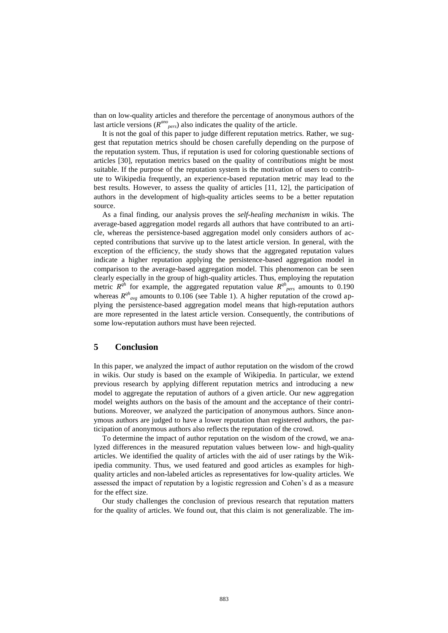than on low-quality articles and therefore the percentage of anonymous authors of the last article versions ( $R^{ano}_{pers}$ ) also indicates the quality of the article.

It is not the goal of this paper to judge different reputation metrics. Rather, we suggest that reputation metrics should be chosen carefully depending on the purpose of the reputation system. Thus, if reputation is used for coloring questionable sections of articles [30], reputation metrics based on the quality of contributions might be most suitable. If the purpose of the reputation system is the motivation of users to contribute to Wikipedia frequently, an experience-based reputation metric may lead to the best results. However, to assess the quality of articles [11, 12], the participation of authors in the development of high-quality articles seems to be a better reputation source.

As a final finding, our analysis proves the *self-healing mechanism* in wikis. The average-based aggregation model regards all authors that have contributed to an article, whereas the persistence-based aggregation model only considers authors of accepted contributions that survive up to the latest article version. In general, with the exception of the efficiency, the study shows that the aggregated reputation values indicate a higher reputation applying the persistence-based aggregation model in comparison to the average-based aggregation model. This phenomenon can be seen clearly especially in the group of high-quality articles. Thus, employing the reputation metric  $R^{qh}$  for example, the aggregated reputation value  $R^{qh}$ <sub>pers</sub> amounts to 0.190 whereas  $R^{qh}$ <sub>avg</sub> amounts to 0.106 (see Table 1). A higher reputation of the crowd applying the persistence-based aggregation model means that high-reputation authors are more represented in the latest article version. Consequently, the contributions of some low-reputation authors must have been rejected.

### **5 Conclusion**

In this paper, we analyzed the impact of author reputation on the wisdom of the crowd in wikis. Our study is based on the example of Wikipedia. In particular, we extend previous research by applying different reputation metrics and introducing a new model to aggregate the reputation of authors of a given article. Our new aggregation model weights authors on the basis of the amount and the acceptance of their contributions. Moreover, we analyzed the participation of anonymous authors. Since anonymous authors are judged to have a lower reputation than registered authors, the participation of anonymous authors also reflects the reputation of the crowd.

To determine the impact of author reputation on the wisdom of the crowd, we analyzed differences in the measured reputation values between low- and high-quality articles. We identified the quality of articles with the aid of user ratings by the Wikipedia community. Thus, we used featured and good articles as examples for highquality articles and non-labeled articles as representatives for low-quality articles. We assessed the impact of reputation by a logistic regression and Cohen's d as a measure for the effect size.

Our study challenges the conclusion of previous research that reputation matters for the quality of articles. We found out, that this claim is not [generalizable.](http://www.dict.cc/englisch-deutsch/generalizable.html) The im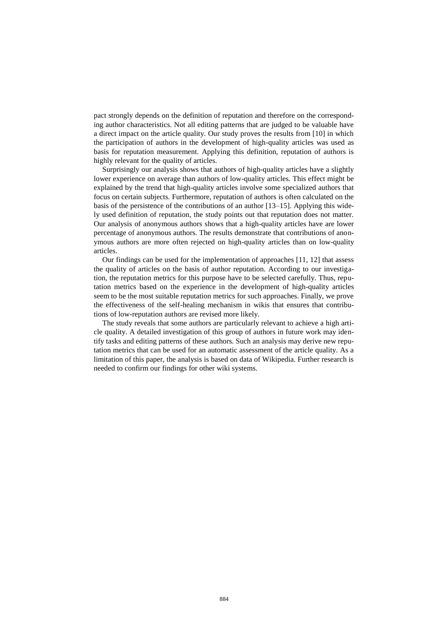pact strongly depends on the definition of reputation and therefore on the corresponding author characteristics. Not all editing patterns that are judged to be valuable have a direct impact on the article quality. Our study proves the results from [10] in which the participation of authors in the development of high-quality articles was used as basis for reputation measurement. Applying this definition, reputation of authors is highly relevant for the quality of articles.

Surprisingly our analysis shows that authors of high-quality articles have a slightly lower experience on average than authors of low-quality articles. This effect might be explained by the trend that high-quality articles involve some specialized authors that focus on certain subjects. Furthermore, reputation of authors is often calculated on the basis of the persistence of the contributions of an author [13–15]. Applying this widely used definition of reputation, the study points out that reputation does not matter. Our analysis of anonymous authors shows that a high-quality articles have are lower percentage of anonymous authors. The results demonstrate that contributions of anonymous authors are more often rejected on high-quality articles than on low-quality articles.

Our findings can be used for the implementation of approaches [11, 12] that assess the quality of articles on the basis of author reputation. According to our investigation, the reputation metrics for this purpose have to be selected carefully. Thus, reputation metrics based on the experience in the development of high-quality articles seem to be the most suitable reputation metrics for such approaches. Finally, we prove the effectiveness of the self-healing mechanism in wikis that ensures that contributions of low-reputation authors are revised more likely.

The study reveals that some authors are particularly relevant to achieve a high article quality. A detailed investigation of this group of authors in future work may identify tasks and editing patterns of these authors. Such an analysis may derive new reputation metrics that can be used for an automatic assessment of the article quality. As a limitation of this paper, the analysis is based on data of Wikipedia. Further research is needed to confirm our findings for other wiki systems.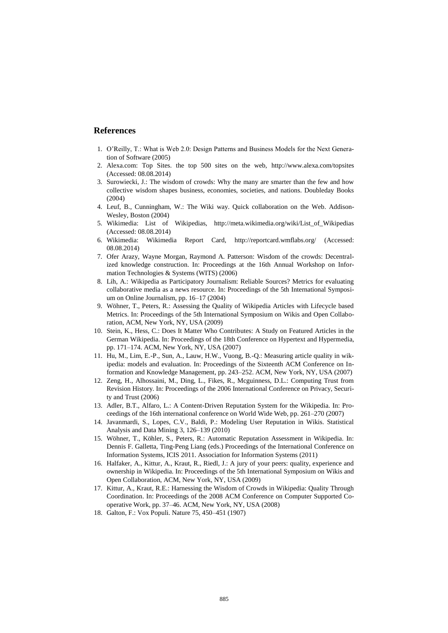#### **References**

- 1. O'Reilly, T.: What is Web 2.0: Design Patterns and Business Models for the Next Generation of Software (2005)
- 2. Alexa.com: Top Sites. the top 500 sites on the web, <http://www.alexa.com/topsites> (Accessed: 08.08.2014)
- 3. Surowiecki, J.: The wisdom of crowds: Why the many are smarter than the few and how collective wisdom shapes business, economies, societies, and nations. Doubleday Books (2004)
- 4. Leuf, B., Cunningham, W.: The Wiki way. Quick collaboration on the Web. Addison-Wesley, Boston (2004)
- 5. Wikimedia: List of Wikipedias, [http://meta.wikimedia.org/wiki/List\\_of\\_Wikipedias](http://meta.wikimedia.org/wiki/List_of_Wikipedias) (Accessed: 08.08.2014)
- 6. Wikimedia: Wikimedia Report Card, <http://reportcard.wmflabs.org/> (Accessed: 08.08.2014)
- 7. Ofer Arazy, Wayne Morgan, Raymond A. Patterson: Wisdom of the crowds: Decentralized knowledge construction. In: Proceedings at the 16th Annual Workshop on Information Technologies & Systems (WITS) (2006)
- 8. Lih, A.: Wikipedia as Participatory Journalism: Reliable Sources? Metrics for evaluating collaborative media as a news resource. In: Proceedings of the 5th International Symposium on Online Journalism, pp. 16–17 (2004)
- 9. Wöhner, T., Peters, R.: Assessing the Quality of Wikipedia Articles with Lifecycle based Metrics. In: Proceedings of the 5th International Symposium on Wikis and Open Collaboration, ACM, New York, NY, USA (2009)
- 10. Stein, K., Hess, C.: Does It Matter Who Contributes: A Study on Featured Articles in the German Wikipedia. In: Proceedings of the 18th Conference on Hypertext and Hypermedia, pp. 171–174. ACM, New York, NY, USA (2007)
- 11. Hu, M., Lim, E.-P., Sun, A., Lauw, H.W., Vuong, B.-Q.: Measuring article quality in wikipedia: models and evaluation. In: Proceedings of the Sixteenth ACM Conference on Information and Knowledge Management, pp. 243–252. ACM, New York, NY, USA (2007)
- 12. Zeng, H., Alhossaini, M., Ding, L., Fikes, R., Mcguinness, D.L.: Computing Trust from Revision History. In: Proceedings of the 2006 International Conference on Privacy, Security and Trust (2006)
- 13. Adler, B.T., Alfaro, L.: A Content-Driven Reputation System for the Wikipedia. In: Proceedings of the 16th international conference on World Wide Web, pp. 261–270 (2007)
- 14. Javanmardi, S., Lopes, C.V., Baldi, P.: Modeling User Reputation in Wikis. Statistical Analysis and Data Mining 3, 126–139 (2010)
- 15. Wöhner, T., Köhler, S., Peters, R.: Automatic Reputation Assessment in Wikipedia. In: Dennis F. Galletta, Ting-Peng Liang (eds.) Proceedings of the International Conference on Information Systems, ICIS 2011. Association for Information Systems (2011)
- 16. Halfaker, A., Kittur, A., Kraut, R., Riedl, J.: A jury of your peers: quality, experience and ownership in Wikipedia. In: Proceedings of the 5th International Symposium on Wikis and Open Collaboration, ACM, New York, NY, USA (2009)
- 17. Kittur, A., Kraut, R.E.: Harnessing the Wisdom of Crowds in Wikipedia: Quality Through Coordination. In: Proceedings of the 2008 ACM Conference on Computer Supported Cooperative Work, pp. 37–46. ACM, New York, NY, USA (2008)
- 18. Galton, F.: Vox Populi. Nature 75, 450–451 (1907)